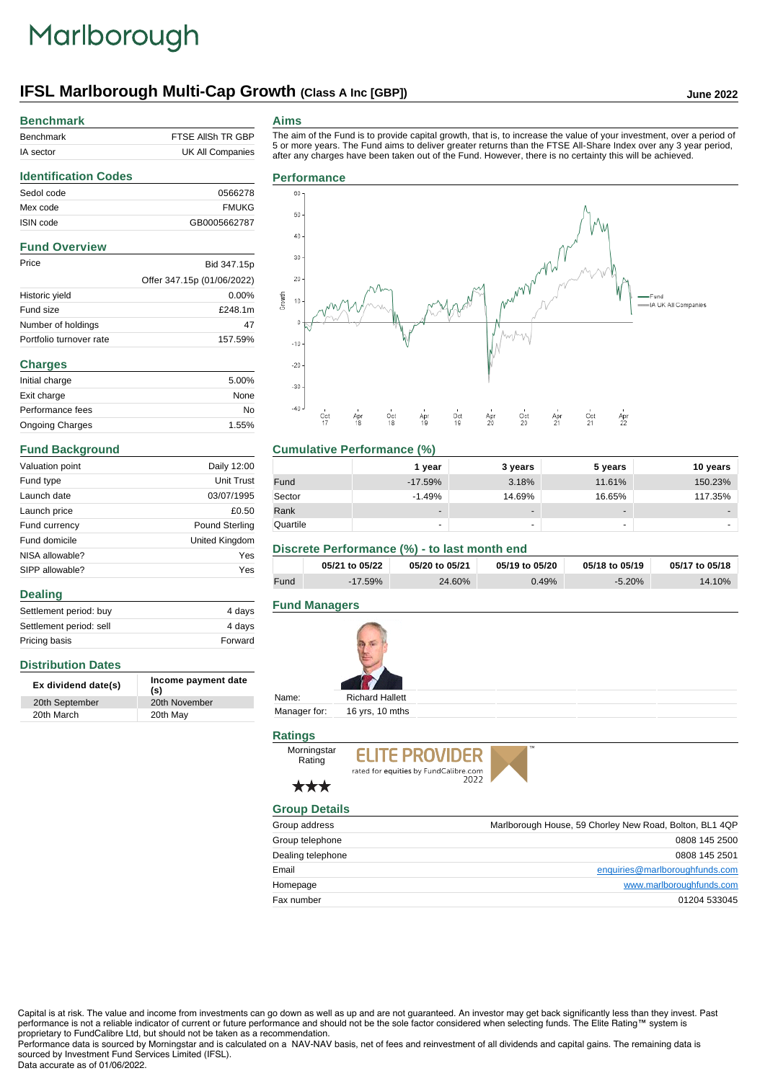# Marlborough

# **IFSL Marlborough Multi-Cap Growth (Class A Inc [GBP]) June 2022**

Offer 347.15p (01/06/2022)

#### **Benchmark**

**Identification Codes**

**Fund Overview**

**Charges**

**Distribution Dates**

**Dealing**

**Fund Background**

| Benchmark | FTSE AIISH TR GBP |
|-----------|-------------------|
| IA sector | UK All Companies  |

Mex code FMUKG ISIN code GB0005662787

Price Bid 347.15p

Historic yield 0.00% Fund size **E248.1m** Number of holdings 47 Portfolio turnover rate 157.59%

Initial charge 5.00% Exit charge None Performance fees No Ongoing Charges 1.55%

Valuation point Daily 12:00 Fund type Unit Trust Launch date 03/07/1995 Launch price  $£0.50$ Fund currency **Pound Sterling** Fund domicile **United Kingdom** NISA allowable? Yes SIPP allowable? Yes

Settlement period: buy 4 days Settlement period: sell 4 days Pricing basis **Forward** 

**Ex dividend date(s) Income payment date (s)**

20th September 20th November 20th March 20th May

#### **Aims**

The aim of the Fund is to provide capital growth, that is, to increase the value of your investment, over a period of 5 or more years. The Fund aims to deliver greater returns than the FTSE All-Share Index over any 3 year period, after any charges have been taken out of the Fund. However, there is no certainty this will be achieved.

#### Sedol code 0566278 **Performance**



### **Cumulative Performance (%)**

|          | 1 year    | 3 years                  | 5 years | 10 years                 |
|----------|-----------|--------------------------|---------|--------------------------|
| Fund     | $-17.59%$ | 3.18%                    | 11.61%  | 150.23%                  |
| Sector   | $-1.49%$  | 14.69%                   | 16.65%  | 117.35%                  |
| Rank     |           | $\overline{\phantom{a}}$ | -       | $\overline{\phantom{0}}$ |
| Quartile | ۰         | ۰                        | -       |                          |

#### **Discrete Performance (%) - to last month end**

|      | 05/21 to 05/22 | 05/20 to 05/21 | 05/19 to 05/20 | 05/18 to 05/19 | 05/17 to 05/18 |
|------|----------------|----------------|----------------|----------------|----------------|
| Fund | $-17.59\%$     | 24.60%         | 0.49%          | $-5.20%$       | 14.10%         |

### **Fund Managers**



Manager for: 16 yrs, 10 mths

### **Ratings**



## \*\*\*

**Morningstar** Rating

#### **Group Details**

| Group address     | Marlborough House, 59 Chorley New Road, Bolton, BL1 4QP |
|-------------------|---------------------------------------------------------|
| Group telephone   | 0808 145 2500                                           |
| Dealing telephone | 0808 145 2501                                           |
| Email             | enquiries@marlboroughfunds.com                          |
| Homepage          | www.marlboroughfunds.com                                |
| Fax number        | 01204 533045                                            |

Capital is at risk. The value and income from investments can go down as well as up and are not guaranteed. An investor may get back significantly less than they invest. Past performance is not a reliable indicator of current or future performance and should not be the sole factor considered when selecting funds. The Elite Rating™ system is proprietary to FundCalibre Ltd, but should not be taken as a recommendation.

Performance data is sourced by Morningstar and is calculated on a NAV-NAV basis, net of fees and reinvestment of all dividends and capital gains. The remaining data is sourced by Investment Fund Services Limited (IFSL).

#### Data accurate as of 01/06/2022.